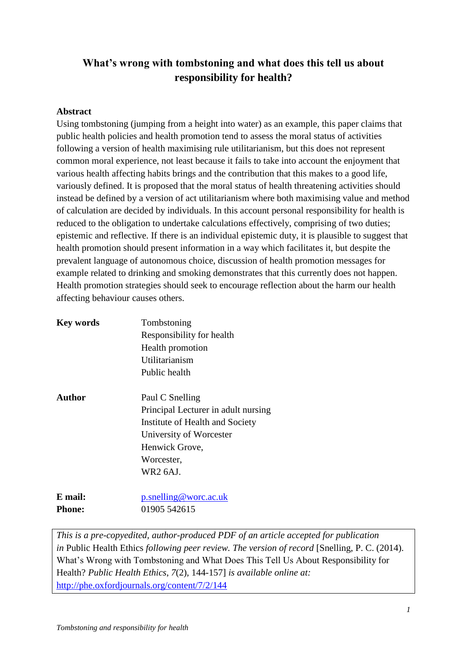# **What's wrong with tombstoning and what does this tell us about responsibility for health?**

# **Abstract**

Using tombstoning (jumping from a height into water) as an example, this paper claims that public health policies and health promotion tend to assess the moral status of activities following a version of health maximising rule utilitarianism, but this does not represent common moral experience, not least because it fails to take into account the enjoyment that various health affecting habits brings and the contribution that this makes to a good life, variously defined. It is proposed that the moral status of health threatening activities should instead be defined by a version of act utilitarianism where both maximising value and method of calculation are decided by individuals. In this account personal responsibility for health is reduced to the obligation to undertake calculations effectively, comprising of two duties; epistemic and reflective. If there is an individual epistemic duty, it is plausible to suggest that health promotion should present information in a way which facilitates it, but despite the prevalent language of autonomous choice, discussion of health promotion messages for example related to drinking and smoking demonstrates that this currently does not happen. Health promotion strategies should seek to encourage reflection about the harm our health affecting behaviour causes others.

| <b>Key words</b> | Tombstoning                         |
|------------------|-------------------------------------|
|                  | Responsibility for health           |
|                  | Health promotion                    |
|                  | Utilitarianism                      |
|                  | Public health                       |
| Author           | Paul C Snelling                     |
|                  | Principal Lecturer in adult nursing |
|                  | Institute of Health and Society     |
|                  | University of Worcester             |
|                  | Henwick Grove,                      |
|                  | Worcester,                          |
|                  | WR2 6AJ.                            |
| E mail:          | p.snelling@worc.ac.uk               |

**Phone:** 01905 542615

*This is a pre-copyedited, author-produced PDF of an article accepted for publication in* Public Health Ethics *following peer review. The version of record* [Snelling, P. C. (2014). What's Wrong with Tombstoning and What Does This Tell Us About Responsibility for Health? *Public Health Ethics*, *7*(2), 144-157] *is available online at:*  <http://phe.oxfordjournals.org/content/7/2/144>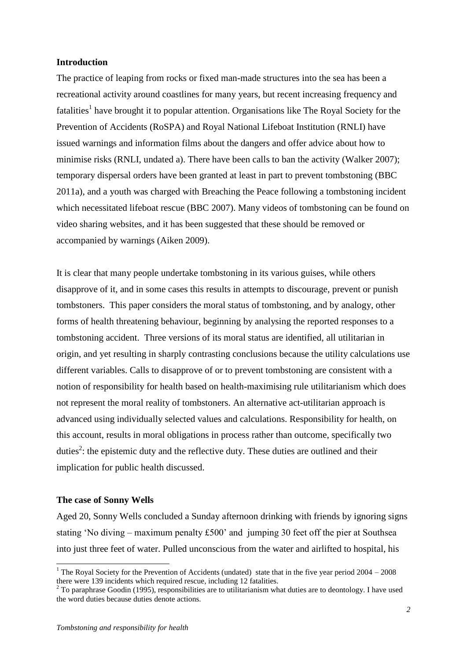# **Introduction**

The practice of leaping from rocks or fixed man-made structures into the sea has been a recreational activity around coastlines for many years, but recent increasing frequency and fatalities<sup>1</sup> have brought it to popular attention. Organisations like The Royal Society for the Prevention of Accidents (RoSPA) and Royal National Lifeboat Institution (RNLI) have issued warnings and information films about the dangers and offer advice about how to minimise risks (RNLI, undated a). There have been calls to ban the activity (Walker 2007); temporary dispersal orders have been granted at least in part to prevent tombstoning (BBC 2011a), and a youth was charged with Breaching the Peace following a tombstoning incident which necessitated lifeboat rescue (BBC 2007). Many videos of tombstoning can be found on video sharing websites, and it has been suggested that these should be removed or accompanied by warnings (Aiken 2009).

It is clear that many people undertake tombstoning in its various guises, while others disapprove of it, and in some cases this results in attempts to discourage, prevent or punish tombstoners. This paper considers the moral status of tombstoning, and by analogy, other forms of health threatening behaviour, beginning by analysing the reported responses to a tombstoning accident. Three versions of its moral status are identified, all utilitarian in origin, and yet resulting in sharply contrasting conclusions because the utility calculations use different variables. Calls to disapprove of or to prevent tombstoning are consistent with a notion of responsibility for health based on health-maximising rule utilitarianism which does not represent the moral reality of tombstoners. An alternative act-utilitarian approach is advanced using individually selected values and calculations. Responsibility for health, on this account, results in moral obligations in process rather than outcome, specifically two duties<sup>2</sup>: the epistemic duty and the reflective duty. These duties are outlined and their implication for public health discussed.

### **The case of Sonny Wells**

Aged 20, Sonny Wells concluded a Sunday afternoon drinking with friends by ignoring signs stating 'No diving – maximum penalty £500' and jumping 30 feet off the pier at Southsea into just three feet of water. Pulled unconscious from the water and airlifted to hospital, his

<sup>&</sup>lt;sup>1</sup> The Royal Society for the Prevention of Accidents (undated) state that in the five year period  $2004 - 2008$ there were 139 incidents which required rescue, including 12 fatalities.

<sup>&</sup>lt;sup>2</sup> To paraphrase Goodin (1995), responsibilities are to utilitarianism what duties are to deontology. I have used the word duties because duties denote actions.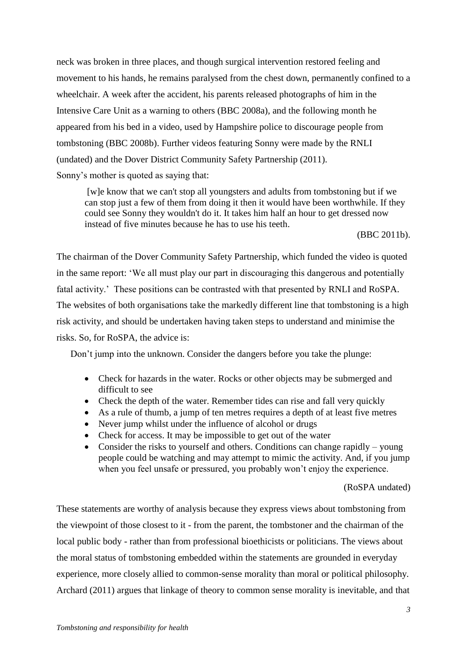neck was broken in three places, and though surgical intervention restored feeling and movement to his hands, he remains paralysed from the chest down, permanently confined to a wheelchair. A week after the accident, his parents released photographs of him in the Intensive Care Unit as a warning to others (BBC 2008a), and the following month he appeared from his bed in a video, used by Hampshire police to discourage people from tombstoning (BBC 2008b). Further videos featuring Sonny were made by the RNLI (undated) and the Dover District Community Safety Partnership (2011). Sonny's mother is quoted as saying that:

[w]e know that we can't stop all youngsters and adults from tombstoning but if we can stop just a few of them from doing it then it would have been worthwhile. If they could see Sonny they wouldn't do it. It takes him half an hour to get dressed now instead of five minutes because he has to use his teeth.

(BBC 2011b).

The chairman of the Dover Community Safety Partnership, which funded the video is quoted in the same report: 'We all must play our part in discouraging this dangerous and potentially fatal activity.' These positions can be contrasted with that presented by RNLI and RoSPA. The websites of both organisations take the markedly different line that tombstoning is a high risk activity, and should be undertaken having taken steps to understand and minimise the risks. So, for RoSPA, the advice is:

Don't jump into the unknown. Consider the dangers before you take the plunge:

- Check for hazards in the water. Rocks or other objects may be submerged and difficult to see
- Check the depth of the water. Remember tides can rise and fall very quickly
- As a rule of thumb, a jump of ten metres requires a depth of at least five metres
- Never jump whilst under the influence of alcohol or drugs
- Check for access. It may be impossible to get out of the water
- Consider the risks to yourself and others. Conditions can change rapidly young people could be watching and may attempt to mimic the activity. And, if you jump when you feel unsafe or pressured, you probably won't enjoy the experience.

### (RoSPA undated)

These statements are worthy of analysis because they express views about tombstoning from the viewpoint of those closest to it - from the parent, the tombstoner and the chairman of the local public body - rather than from professional bioethicists or politicians. The views about the moral status of tombstoning embedded within the statements are grounded in everyday experience, more closely allied to common-sense morality than moral or political philosophy. Archard (2011) argues that linkage of theory to common sense morality is inevitable, and that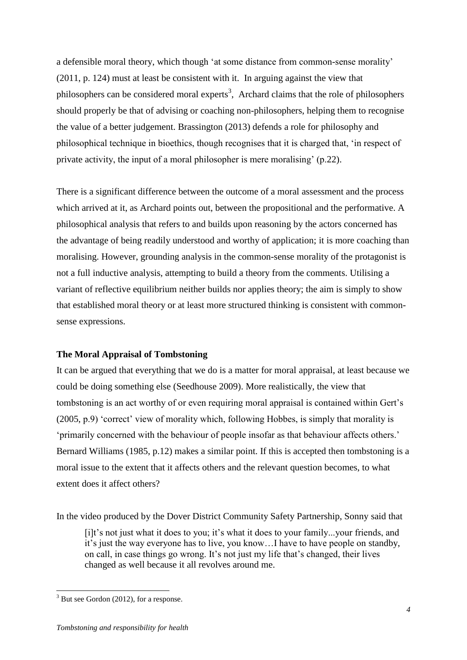a defensible moral theory, which though 'at some distance from common-sense morality' (2011, p. 124) must at least be consistent with it. In arguing against the view that philosophers can be considered moral experts<sup>3</sup>, Archard claims that the role of philosophers should properly be that of advising or coaching non-philosophers, helping them to recognise the value of a better judgement. Brassington (2013) defends a role for philosophy and philosophical technique in bioethics, though recognises that it is charged that, 'in respect of private activity, the input of a moral philosopher is mere moralising' (p.22).

There is a significant difference between the outcome of a moral assessment and the process which arrived at it, as Archard points out, between the propositional and the performative. A philosophical analysis that refers to and builds upon reasoning by the actors concerned has the advantage of being readily understood and worthy of application; it is more coaching than moralising. However, grounding analysis in the common-sense morality of the protagonist is not a full inductive analysis, attempting to build a theory from the comments. Utilising a variant of reflective equilibrium neither builds nor applies theory; the aim is simply to show that established moral theory or at least more structured thinking is consistent with commonsense expressions.

# **The Moral Appraisal of Tombstoning**

It can be argued that everything that we do is a matter for moral appraisal, at least because we could be doing something else (Seedhouse 2009). More realistically, the view that tombstoning is an act worthy of or even requiring moral appraisal is contained within Gert's (2005, p.9) 'correct' view of morality which, following Hobbes, is simply that morality is 'primarily concerned with the behaviour of people insofar as that behaviour affects others.' Bernard Williams (1985, p.12) makes a similar point. If this is accepted then tombstoning is a moral issue to the extent that it affects others and the relevant question becomes, to what extent does it affect others?

In the video produced by the Dover District Community Safety Partnership, Sonny said that

[i]t's not just what it does to you; it's what it does to your family...your friends, and it's just the way everyone has to live, you know…I have to have people on standby, on call, in case things go wrong. It's not just my life that's changed, their lives changed as well because it all revolves around me.

 $3$  But see Gordon (2012), for a response.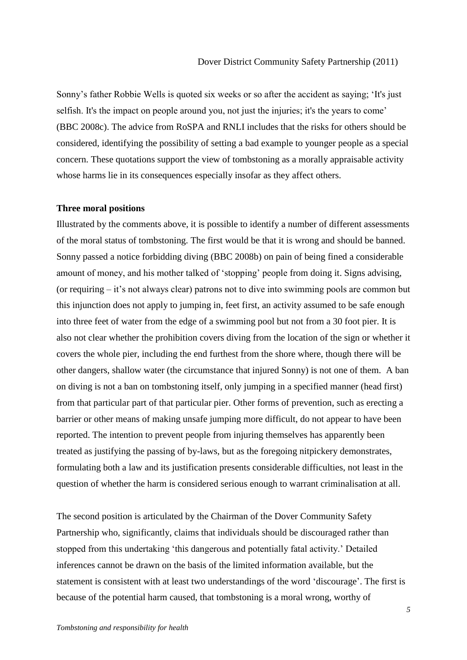Sonny's father Robbie Wells is quoted six weeks or so after the accident as saying; 'It's just selfish. It's the impact on people around you, not just the injuries; it's the years to come' (BBC 2008c). The advice from RoSPA and RNLI includes that the risks for others should be considered, identifying the possibility of setting a bad example to younger people as a special concern. These quotations support the view of tombstoning as a morally appraisable activity whose harms lie in its consequences especially insofar as they affect others.

# **Three moral positions**

Illustrated by the comments above, it is possible to identify a number of different assessments of the moral status of tombstoning. The first would be that it is wrong and should be banned. Sonny passed a notice forbidding diving (BBC 2008b) on pain of being fined a considerable amount of money, and his mother talked of 'stopping' people from doing it. Signs advising, (or requiring – it's not always clear) patrons not to dive into swimming pools are common but this injunction does not apply to jumping in, feet first, an activity assumed to be safe enough into three feet of water from the edge of a swimming pool but not from a 30 foot pier. It is also not clear whether the prohibition covers diving from the location of the sign or whether it covers the whole pier, including the end furthest from the shore where, though there will be other dangers, shallow water (the circumstance that injured Sonny) is not one of them. A ban on diving is not a ban on tombstoning itself, only jumping in a specified manner (head first) from that particular part of that particular pier. Other forms of prevention, such as erecting a barrier or other means of making unsafe jumping more difficult, do not appear to have been reported. The intention to prevent people from injuring themselves has apparently been treated as justifying the passing of by-laws, but as the foregoing nitpickery demonstrates, formulating both a law and its justification presents considerable difficulties, not least in the question of whether the harm is considered serious enough to warrant criminalisation at all.

The second position is articulated by the Chairman of the Dover Community Safety Partnership who, significantly, claims that individuals should be discouraged rather than stopped from this undertaking 'this dangerous and potentially fatal activity.' Detailed inferences cannot be drawn on the basis of the limited information available, but the statement is consistent with at least two understandings of the word 'discourage'. The first is because of the potential harm caused, that tombstoning is a moral wrong, worthy of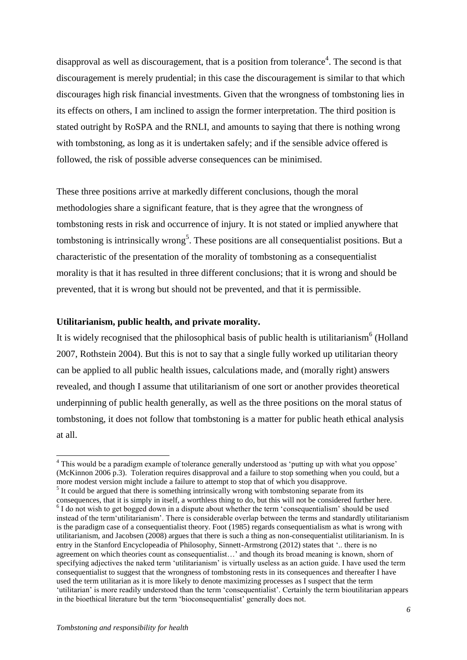disapproval as well as discouragement, that is a position from tolerance<sup>4</sup>. The second is that discouragement is merely prudential; in this case the discouragement is similar to that which discourages high risk financial investments. Given that the wrongness of tombstoning lies in its effects on others, I am inclined to assign the former interpretation. The third position is stated outright by RoSPA and the RNLI, and amounts to saying that there is nothing wrong with tombstoning, as long as it is undertaken safely; and if the sensible advice offered is followed, the risk of possible adverse consequences can be minimised.

These three positions arrive at markedly different conclusions, though the moral methodologies share a significant feature, that is they agree that the wrongness of tombstoning rests in risk and occurrence of injury. It is not stated or implied anywhere that tombstoning is intrinsically wrong<sup>5</sup>. These positions are all consequentialist positions. But a characteristic of the presentation of the morality of tombstoning as a consequentialist morality is that it has resulted in three different conclusions; that it is wrong and should be prevented, that it is wrong but should not be prevented, and that it is permissible.

# **Utilitarianism, public health, and private morality.**

It is widely recognised that the philosophical basis of public health is utilitarianism<sup>6</sup> (Holland 2007, Rothstein 2004). But this is not to say that a single fully worked up utilitarian theory can be applied to all public health issues, calculations made, and (morally right) answers revealed, and though I assume that utilitarianism of one sort or another provides theoretical underpinning of public health generally, as well as the three positions on the moral status of tombstoning, it does not follow that tombstoning is a matter for public heath ethical analysis at all.

<sup>4</sup> This would be a paradigm example of tolerance generally understood as 'putting up with what you oppose' (McKinnon 2006 p.3). Toleration requires disapproval and a failure to stop something when you could, but a more modest version might include a failure to attempt to stop that of which you disapprove.

<sup>&</sup>lt;sup>5</sup> It could be argued that there is something intrinsically wrong with tombstoning separate from its consequences, that it is simply in itself, a worthless thing to do, but this will not be considered further here. <sup>6</sup> I do not wish to get bogged down in a dispute about whether the term 'consequentialism' should be used instead of the term'utilitarianism'. There is considerable overlap between the terms and standardly utilitarianism is the paradigm case of a consequentialist theory. Foot (1985) regards consequentialism as what is wrong with utilitarianism, and Jacobsen (2008) argues that there is such a thing as non-consequentialist utilitarianism. In is entry in the Stanford Encyclopeadia of Philosophy, Sinnett-Armstrong (2012) states that '.. there is no agreement on which theories count as consequentialist…' and though its broad meaning is known, shorn of specifying adjectives the naked term 'utilitarianism' is virtually useless as an action guide. I have used the term consequentialist to suggest that the wrongness of tombstoning rests in its consequences and thereafter I have used the term utilitarian as it is more likely to denote maximizing processes as I suspect that the term 'utilitarian' is more readily understood than the term 'consequentialist'. Certainly the term bioutilitarian appears in the bioethical literature but the term 'bioconsequentialist' generally does not.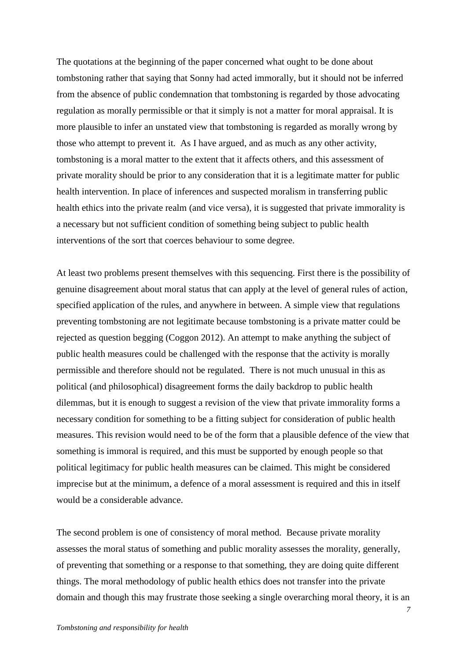The quotations at the beginning of the paper concerned what ought to be done about tombstoning rather that saying that Sonny had acted immorally, but it should not be inferred from the absence of public condemnation that tombstoning is regarded by those advocating regulation as morally permissible or that it simply is not a matter for moral appraisal. It is more plausible to infer an unstated view that tombstoning is regarded as morally wrong by those who attempt to prevent it. As I have argued, and as much as any other activity, tombstoning is a moral matter to the extent that it affects others, and this assessment of private morality should be prior to any consideration that it is a legitimate matter for public health intervention. In place of inferences and suspected moralism in transferring public health ethics into the private realm (and vice versa), it is suggested that private immorality is a necessary but not sufficient condition of something being subject to public health interventions of the sort that coerces behaviour to some degree.

At least two problems present themselves with this sequencing. First there is the possibility of genuine disagreement about moral status that can apply at the level of general rules of action, specified application of the rules, and anywhere in between. A simple view that regulations preventing tombstoning are not legitimate because tombstoning is a private matter could be rejected as question begging (Coggon 2012). An attempt to make anything the subject of public health measures could be challenged with the response that the activity is morally permissible and therefore should not be regulated. There is not much unusual in this as political (and philosophical) disagreement forms the daily backdrop to public health dilemmas, but it is enough to suggest a revision of the view that private immorality forms a necessary condition for something to be a fitting subject for consideration of public health measures. This revision would need to be of the form that a plausible defence of the view that something is immoral is required, and this must be supported by enough people so that political legitimacy for public health measures can be claimed. This might be considered imprecise but at the minimum, a defence of a moral assessment is required and this in itself would be a considerable advance.

The second problem is one of consistency of moral method. Because private morality assesses the moral status of something and public morality assesses the morality, generally, of preventing that something or a response to that something, they are doing quite different things. The moral methodology of public health ethics does not transfer into the private domain and though this may frustrate those seeking a single overarching moral theory, it is an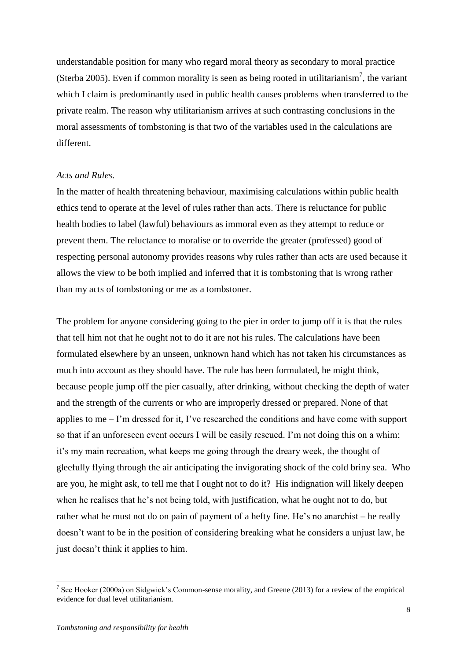understandable position for many who regard moral theory as secondary to moral practice (Sterba 2005). Even if common morality is seen as being rooted in utilitarianism<sup>7</sup>, the variant which I claim is predominantly used in public health causes problems when transferred to the private realm. The reason why utilitarianism arrives at such contrasting conclusions in the moral assessments of tombstoning is that two of the variables used in the calculations are different.

#### *Acts and Rules.*

In the matter of health threatening behaviour, maximising calculations within public health ethics tend to operate at the level of rules rather than acts. There is reluctance for public health bodies to label (lawful) behaviours as immoral even as they attempt to reduce or prevent them. The reluctance to moralise or to override the greater (professed) good of respecting personal autonomy provides reasons why rules rather than acts are used because it allows the view to be both implied and inferred that it is tombstoning that is wrong rather than my acts of tombstoning or me as a tombstoner.

The problem for anyone considering going to the pier in order to jump off it is that the rules that tell him not that he ought not to do it are not his rules. The calculations have been formulated elsewhere by an unseen, unknown hand which has not taken his circumstances as much into account as they should have. The rule has been formulated, he might think, because people jump off the pier casually, after drinking, without checking the depth of water and the strength of the currents or who are improperly dressed or prepared. None of that applies to me – I'm dressed for it, I've researched the conditions and have come with support so that if an unforeseen event occurs I will be easily rescued. I'm not doing this on a whim; it's my main recreation, what keeps me going through the dreary week, the thought of gleefully flying through the air anticipating the invigorating shock of the cold briny sea. Who are you, he might ask, to tell me that I ought not to do it? His indignation will likely deepen when he realises that he's not being told, with justification, what he ought not to do, but rather what he must not do on pain of payment of a hefty fine. He's no anarchist – he really doesn't want to be in the position of considering breaking what he considers a unjust law, he just doesn't think it applies to him.

<sup>&</sup>lt;sup>7</sup> See Hooker (2000a) on Sidgwick's Common-sense morality, and Greene (2013) for a review of the empirical evidence for dual level utilitarianism.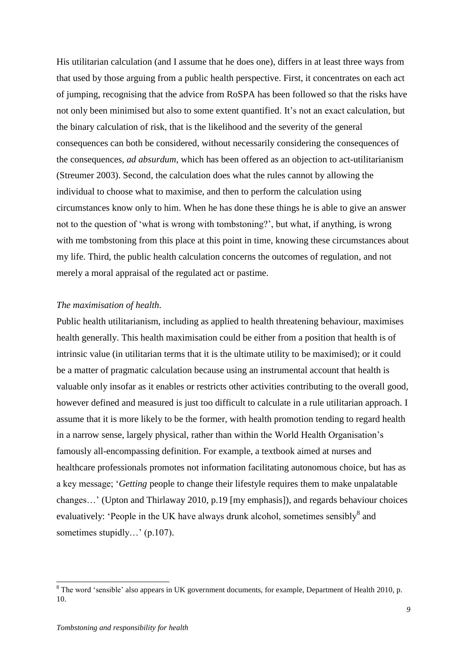His utilitarian calculation (and I assume that he does one), differs in at least three ways from that used by those arguing from a public health perspective. First, it concentrates on each act of jumping, recognising that the advice from RoSPA has been followed so that the risks have not only been minimised but also to some extent quantified. It's not an exact calculation, but the binary calculation of risk, that is the likelihood and the severity of the general consequences can both be considered, without necessarily considering the consequences of the consequences, *ad absurdum*, which has been offered as an objection to act-utilitarianism (Streumer 2003). Second, the calculation does what the rules cannot by allowing the individual to choose what to maximise, and then to perform the calculation using circumstances know only to him. When he has done these things he is able to give an answer not to the question of 'what is wrong with tombstoning?', but what, if anything, is wrong with me tombstoning from this place at this point in time, knowing these circumstances about my life. Third, the public health calculation concerns the outcomes of regulation, and not merely a moral appraisal of the regulated act or pastime.

# *The maximisation of health.*

Public health utilitarianism, including as applied to health threatening behaviour, maximises health generally. This health maximisation could be either from a position that health is of intrinsic value (in utilitarian terms that it is the ultimate utility to be maximised); or it could be a matter of pragmatic calculation because using an instrumental account that health is valuable only insofar as it enables or restricts other activities contributing to the overall good, however defined and measured is just too difficult to calculate in a rule utilitarian approach. I assume that it is more likely to be the former, with health promotion tending to regard health in a narrow sense, largely physical, rather than within the World Health Organisation's famously all-encompassing definition. For example, a textbook aimed at nurses and healthcare professionals promotes not information facilitating autonomous choice, but has as a key message; '*Getting* people to change their lifestyle requires them to make unpalatable changes…' (Upton and Thirlaway 2010, p.19 [my emphasis]), and regards behaviour choices evaluatively: 'People in the UK have always drunk alcohol, sometimes sensibly $^8$  and sometimes stupidly...' (p.107).

 $8$  The word 'sensible' also appears in UK government documents, for example, Department of Health 2010, p. 10.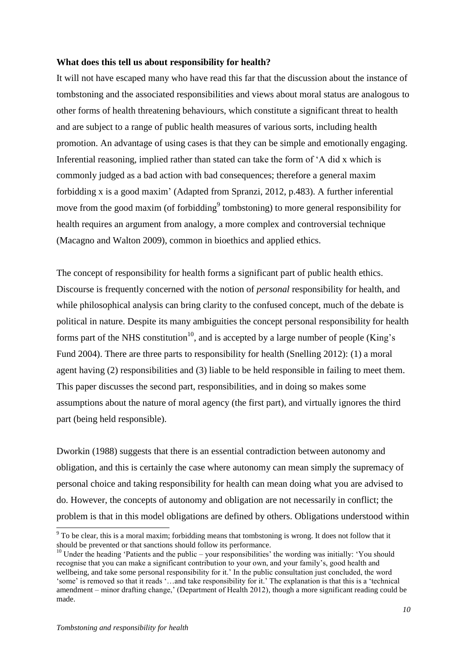### **What does this tell us about responsibility for health?**

It will not have escaped many who have read this far that the discussion about the instance of tombstoning and the associated responsibilities and views about moral status are analogous to other forms of health threatening behaviours, which constitute a significant threat to health and are subject to a range of public health measures of various sorts, including health promotion. An advantage of using cases is that they can be simple and emotionally engaging. Inferential reasoning, implied rather than stated can take the form of 'A did x which is commonly judged as a bad action with bad consequences; therefore a general maxim forbidding x is a good maxim' (Adapted from Spranzi, 2012, p.483). A further inferential move from the good maxim (of forbidding<sup>9</sup> tombstoning) to more general responsibility for health requires an argument from analogy, a more complex and controversial technique (Macagno and Walton 2009), common in bioethics and applied ethics.

The concept of responsibility for health forms a significant part of public health ethics. Discourse is frequently concerned with the notion of *personal* responsibility for health, and while philosophical analysis can bring clarity to the confused concept, much of the debate is political in nature. Despite its many ambiguities the concept personal responsibility for health forms part of the NHS constitution<sup>10</sup>, and is accepted by a large number of people (King's Fund 2004). There are three parts to responsibility for health (Snelling 2012): (1) a moral agent having (2) responsibilities and (3) liable to be held responsible in failing to meet them. This paper discusses the second part, responsibilities, and in doing so makes some assumptions about the nature of moral agency (the first part), and virtually ignores the third part (being held responsible).

Dworkin (1988) suggests that there is an essential contradiction between autonomy and obligation, and this is certainly the case where autonomy can mean simply the supremacy of personal choice and taking responsibility for health can mean doing what you are advised to do. However, the concepts of autonomy and obligation are not necessarily in conflict; the problem is that in this model obligations are defined by others. Obligations understood within

 $9^9$  To be clear, this is a moral maxim; forbidding means that tombstoning is wrong. It does not follow that it should be prevented or that sanctions should follow its performance.

<sup>&</sup>lt;sup>10</sup> Under the heading 'Patients and the public – your responsibilities' the wording was initially: 'You should recognise that you can make a significant contribution to your own, and your family's, good health and wellbeing, and take some personal responsibility for it.' In the public consultation just concluded, the word 'some' is removed so that it reads '…and take responsibility for it.' The explanation is that this is a 'technical amendment – minor drafting change,' (Department of Health 2012), though a more significant reading could be made.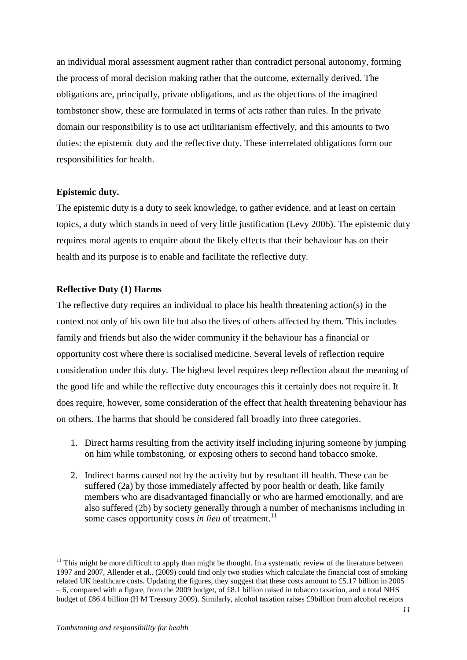an individual moral assessment augment rather than contradict personal autonomy, forming the process of moral decision making rather that the outcome, externally derived. The obligations are, principally, private obligations, and as the objections of the imagined tombstoner show, these are formulated in terms of acts rather than rules. In the private domain our responsibility is to use act utilitarianism effectively, and this amounts to two duties: the epistemic duty and the reflective duty. These interrelated obligations form our responsibilities for health.

# **Epistemic duty.**

The epistemic duty is a duty to seek knowledge, to gather evidence, and at least on certain topics, a duty which stands in need of very little justification (Levy 2006). The epistemic duty requires moral agents to enquire about the likely effects that their behaviour has on their health and its purpose is to enable and facilitate the reflective duty.

# **Reflective Duty (1) Harms**

The reflective duty requires an individual to place his health threatening action(s) in the context not only of his own life but also the lives of others affected by them. This includes family and friends but also the wider community if the behaviour has a financial or opportunity cost where there is socialised medicine. Several levels of reflection require consideration under this duty. The highest level requires deep reflection about the meaning of the good life and while the reflective duty encourages this it certainly does not require it. It does require, however, some consideration of the effect that health threatening behaviour has on others. The harms that should be considered fall broadly into three categories.

- 1. Direct harms resulting from the activity itself including injuring someone by jumping on him while tombstoning, or exposing others to second hand tobacco smoke.
- 2. Indirect harms caused not by the activity but by resultant ill health. These can be suffered (2a) by those immediately affected by poor health or death, like family members who are disadvantaged financially or who are harmed emotionally, and are also suffered (2b) by society generally through a number of mechanisms including in some cases opportunity costs *in lieu* of treatment.<sup>11</sup>

 $11$  This might be more difficult to apply than might be thought. In a systematic review of the literature between 1997 and 2007, Allender et al.. (2009) could find only two studies which calculate the financial cost of smoking related UK healthcare costs. Updating the figures, they suggest that these costs amount to £5.17 billion in 2005 – 6, compared with a figure, from the 2009 budget, of £8.1 billion raised in tobacco taxation, and a total NHS budget of £86.4 billion (H M Treasury 2009). Similarly, alcohol taxation raises £9billion from alcohol receipts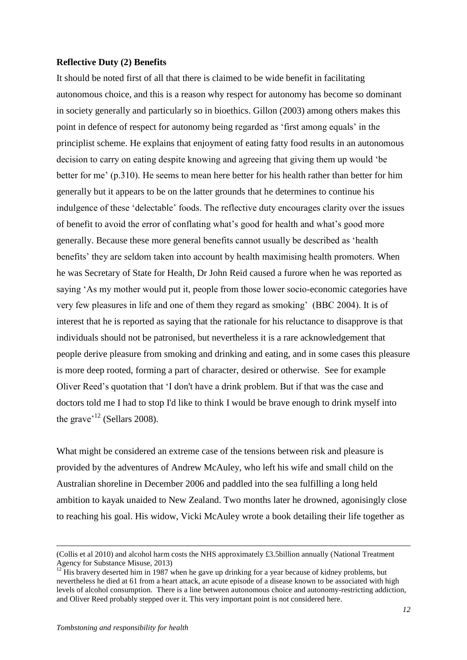# **Reflective Duty (2) Benefits**

It should be noted first of all that there is claimed to be wide benefit in facilitating autonomous choice, and this is a reason why respect for autonomy has become so dominant in society generally and particularly so in bioethics. Gillon (2003) among others makes this point in defence of respect for autonomy being regarded as 'first among equals' in the principlist scheme. He explains that enjoyment of eating fatty food results in an autonomous decision to carry on eating despite knowing and agreeing that giving them up would 'be better for me' (p.310). He seems to mean here better for his health rather than better for him generally but it appears to be on the latter grounds that he determines to continue his indulgence of these 'delectable' foods. The reflective duty encourages clarity over the issues of benefit to avoid the error of conflating what's good for health and what's good more generally. Because these more general benefits cannot usually be described as 'health benefits' they are seldom taken into account by health maximising health promoters. When he was Secretary of State for Health, Dr John Reid caused a furore when he was reported as saying 'As my mother would put it, people from those lower socio-economic categories have very few pleasures in life and one of them they regard as smoking' (BBC 2004). It is of interest that he is reported as saying that the rationale for his reluctance to disapprove is that individuals should not be patronised, but nevertheless it is a rare acknowledgement that people derive pleasure from smoking and drinking and eating, and in some cases this pleasure is more deep rooted, forming a part of character, desired or otherwise. See for example Oliver Reed's quotation that 'I don't have a drink problem. But if that was the case and doctors told me I had to stop I'd like to think I would be brave enough to drink myself into the grave<sup> $12$ </sup> (Sellars 2008).

What might be considered an extreme case of the tensions between risk and pleasure is provided by the adventures of Andrew McAuley, who left his wife and small child on the Australian shoreline in December 2006 and paddled into the sea fulfilling a long held ambition to kayak unaided to New Zealand. Two months later he drowned, agonisingly close to reaching his goal. His widow, Vicki McAuley wrote a book detailing their life together as

<sup>(</sup>Collis et al 2010) and alcohol harm costs the NHS approximately £3.5billion annually (National Treatment Agency for Substance Misuse, 2013)

 $12$  His bravery deserted him in 1987 when he gave up drinking for a year because of kidney problems, but nevertheless he died at 61 from a heart attack, an acute episode of a disease known to be associated with high levels of alcohol consumption. There is a line between autonomous choice and autonomy-restricting addiction, and Oliver Reed probably stepped over it. This very important point is not considered here.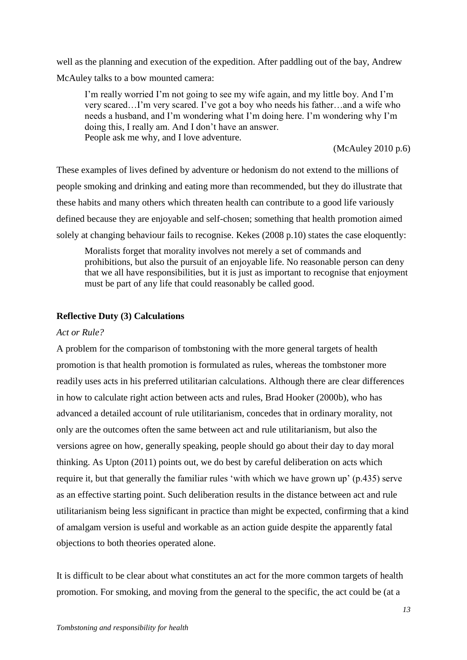well as the planning and execution of the expedition. After paddling out of the bay, Andrew McAuley talks to a bow mounted camera:

I'm really worried I'm not going to see my wife again, and my little boy. And I'm very scared…I'm very scared. I've got a boy who needs his father…and a wife who needs a husband, and I'm wondering what I'm doing here. I'm wondering why I'm doing this, I really am. And I don't have an answer. People ask me why, and I love adventure*.*

(McAuley 2010 p.6)

These examples of lives defined by adventure or hedonism do not extend to the millions of people smoking and drinking and eating more than recommended, but they do illustrate that these habits and many others which threaten health can contribute to a good life variously defined because they are enjoyable and self-chosen; something that health promotion aimed solely at changing behaviour fails to recognise. Kekes (2008 p.10) states the case eloquently:

Moralists forget that morality involves not merely a set of commands and prohibitions, but also the pursuit of an enjoyable life. No reasonable person can deny that we all have responsibilities, but it is just as important to recognise that enjoyment must be part of any life that could reasonably be called good.

# **Reflective Duty (3) Calculations**

# *Act or Rule?*

A problem for the comparison of tombstoning with the more general targets of health promotion is that health promotion is formulated as rules, whereas the tombstoner more readily uses acts in his preferred utilitarian calculations. Although there are clear differences in how to calculate right action between acts and rules, Brad Hooker (2000b), who has advanced a detailed account of rule utilitarianism, concedes that in ordinary morality, not only are the outcomes often the same between act and rule utilitarianism, but also the versions agree on how, generally speaking, people should go about their day to day moral thinking. As Upton (2011) points out, we do best by careful deliberation on acts which require it, but that generally the familiar rules 'with which we have grown up' (p.435) serve as an effective starting point. Such deliberation results in the distance between act and rule utilitarianism being less significant in practice than might be expected, confirming that a kind of amalgam version is useful and workable as an action guide despite the apparently fatal objections to both theories operated alone.

It is difficult to be clear about what constitutes an act for the more common targets of health promotion. For smoking, and moving from the general to the specific, the act could be (at a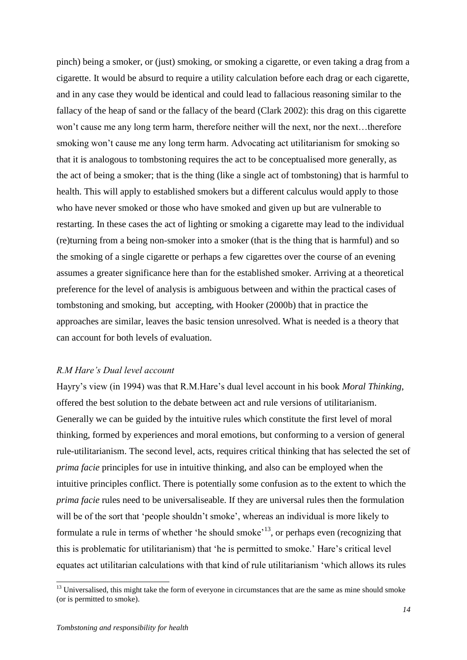pinch) being a smoker, or (just) smoking, or smoking a cigarette, or even taking a drag from a cigarette. It would be absurd to require a utility calculation before each drag or each cigarette, and in any case they would be identical and could lead to fallacious reasoning similar to the fallacy of the heap of sand or the fallacy of the beard (Clark 2002): this drag on this cigarette won't cause me any long term harm, therefore neither will the next, nor the next…therefore smoking won't cause me any long term harm. Advocating act utilitarianism for smoking so that it is analogous to tombstoning requires the act to be conceptualised more generally, as the act of being a smoker; that is the thing (like a single act of tombstoning) that is harmful to health. This will apply to established smokers but a different calculus would apply to those who have never smoked or those who have smoked and given up but are vulnerable to restarting. In these cases the act of lighting or smoking a cigarette may lead to the individual (re)turning from a being non-smoker into a smoker (that is the thing that is harmful) and so the smoking of a single cigarette or perhaps a few cigarettes over the course of an evening assumes a greater significance here than for the established smoker. Arriving at a theoretical preference for the level of analysis is ambiguous between and within the practical cases of tombstoning and smoking, but accepting, with Hooker (2000b) that in practice the approaches are similar, leaves the basic tension unresolved. What is needed is a theory that can account for both levels of evaluation.

# *R.M Hare's Dual level account*

Hayry's view (in 1994) was that R.M.Hare's dual level account in his book *Moral Thinking*, offered the best solution to the debate between act and rule versions of utilitarianism. Generally we can be guided by the intuitive rules which constitute the first level of moral thinking, formed by experiences and moral emotions, but conforming to a version of general rule-utilitarianism. The second level, acts, requires critical thinking that has selected the set of *prima facie* principles for use in intuitive thinking, and also can be employed when the intuitive principles conflict. There is potentially some confusion as to the extent to which the *prima facie* rules need to be universaliseable. If they are universal rules then the formulation will be of the sort that 'people shouldn't smoke', whereas an individual is more likely to formulate a rule in terms of whether 'he should smoke'<sup>13</sup>, or perhaps even (recognizing that this is problematic for utilitarianism) that 'he is permitted to smoke.' Hare's critical level equates act utilitarian calculations with that kind of rule utilitarianism 'which allows its rules

 $13$  Universalised, this might take the form of everyone in circumstances that are the same as mine should smoke (or is permitted to smoke).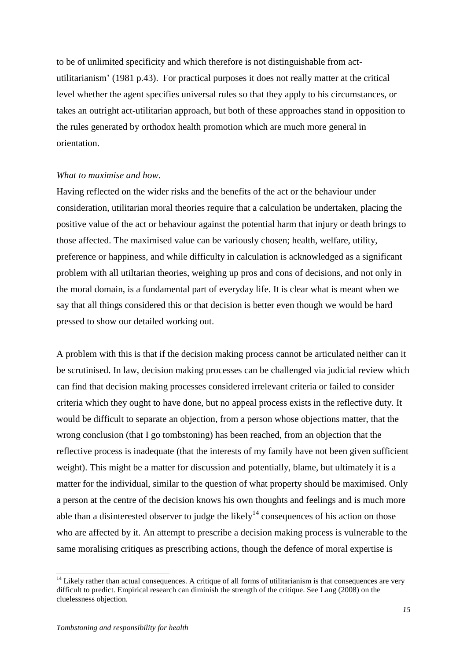to be of unlimited specificity and which therefore is not distinguishable from actutilitarianism' (1981 p.43). For practical purposes it does not really matter at the critical level whether the agent specifies universal rules so that they apply to his circumstances, or takes an outright act-utilitarian approach, but both of these approaches stand in opposition to the rules generated by orthodox health promotion which are much more general in orientation.

# *What to maximise and how.*

Having reflected on the wider risks and the benefits of the act or the behaviour under consideration, utilitarian moral theories require that a calculation be undertaken, placing the positive value of the act or behaviour against the potential harm that injury or death brings to those affected. The maximised value can be variously chosen; health, welfare, utility, preference or happiness, and while difficulty in calculation is acknowledged as a significant problem with all utiltarian theories, weighing up pros and cons of decisions, and not only in the moral domain, is a fundamental part of everyday life. It is clear what is meant when we say that all things considered this or that decision is better even though we would be hard pressed to show our detailed working out.

A problem with this is that if the decision making process cannot be articulated neither can it be scrutinised. In law, decision making processes can be challenged via judicial review which can find that decision making processes considered irrelevant criteria or failed to consider criteria which they ought to have done, but no appeal process exists in the reflective duty. It would be difficult to separate an objection, from a person whose objections matter, that the wrong conclusion (that I go tombstoning) has been reached, from an objection that the reflective process is inadequate (that the interests of my family have not been given sufficient weight). This might be a matter for discussion and potentially, blame, but ultimately it is a matter for the individual, similar to the question of what property should be maximised. Only a person at the centre of the decision knows his own thoughts and feelings and is much more able than a disinterested observer to judge the likely<sup>14</sup> consequences of his action on those who are affected by it. An attempt to prescribe a decision making process is vulnerable to the same moralising critiques as prescribing actions, though the defence of moral expertise is

 $14$  Likely rather than actual consequences. A critique of all forms of utilitarianism is that consequences are very difficult to predict. Empirical research can diminish the strength of the critique. See Lang (2008) on the cluelessness objection.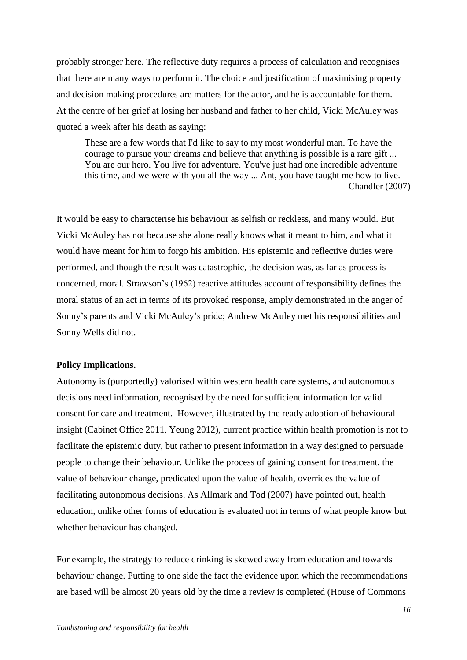probably stronger here. The reflective duty requires a process of calculation and recognises that there are many ways to perform it. The choice and justification of maximising property and decision making procedures are matters for the actor, and he is accountable for them. At the centre of her grief at losing her husband and father to her child, Vicki McAuley was quoted a week after his death as saying:

These are a few words that I'd like to say to my most wonderful man. To have the courage to pursue your dreams and believe that anything is possible is a rare gift ... You are our hero. You live for adventure. You've just had one incredible adventure this time, and we were with you all the way ... Ant, you have taught me how to live. Chandler (2007)

It would be easy to characterise his behaviour as selfish or reckless, and many would. But Vicki McAuley has not because she alone really knows what it meant to him, and what it would have meant for him to forgo his ambition. His epistemic and reflective duties were performed, and though the result was catastrophic, the decision was, as far as process is concerned, moral. Strawson's (1962) reactive attitudes account of responsibility defines the moral status of an act in terms of its provoked response, amply demonstrated in the anger of Sonny's parents and Vicki McAuley's pride; Andrew McAuley met his responsibilities and Sonny Wells did not.

### **Policy Implications.**

Autonomy is (purportedly) valorised within western health care systems, and autonomous decisions need information, recognised by the need for sufficient information for valid consent for care and treatment. However, illustrated by the ready adoption of behavioural insight (Cabinet Office 2011, Yeung 2012), current practice within health promotion is not to facilitate the epistemic duty, but rather to present information in a way designed to persuade people to change their behaviour. Unlike the process of gaining consent for treatment, the value of behaviour change, predicated upon the value of health, overrides the value of facilitating autonomous decisions. As Allmark and Tod (2007) have pointed out, health education, unlike other forms of education is evaluated not in terms of what people know but whether behaviour has changed.

For example, the strategy to reduce drinking is skewed away from education and towards behaviour change. Putting to one side the fact the evidence upon which the recommendations are based will be almost 20 years old by the time a review is completed (House of Commons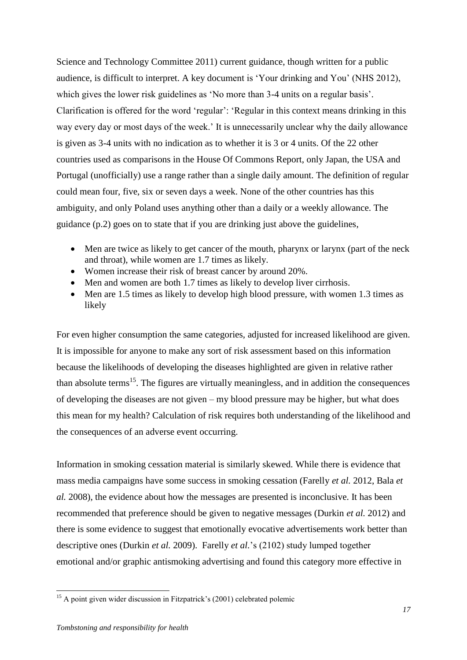Science and Technology Committee 2011) current guidance, though written for a public audience, is difficult to interpret. A key document is 'Your drinking and You' (NHS 2012), which gives the lower risk guidelines as 'No more than 3-4 units on a regular basis'. Clarification is offered for the word 'regular': 'Regular in this context means drinking in this way every day or most days of the week.' It is unnecessarily unclear why the daily allowance is given as 3-4 units with no indication as to whether it is 3 or 4 units. Of the 22 other countries used as comparisons in the House Of Commons Report, only Japan, the USA and Portugal (unofficially) use a range rather than a single daily amount. The definition of regular could mean four, five, six or seven days a week. None of the other countries has this ambiguity, and only Poland uses anything other than a daily or a weekly allowance. The guidance (p.2) goes on to state that if you are drinking just above the guidelines,

- Men are twice as likely to get cancer of the mouth, pharynx or larynx (part of the neck and throat), while women are 1.7 times as likely.
- Women increase their risk of breast cancer by around 20%.
- Men and women are both 1.7 times as likely to develop liver cirrhosis.
- Men are 1.5 times as likely to develop high blood pressure, with women 1.3 times as likely

For even higher consumption the same categories, adjusted for increased likelihood are given. It is impossible for anyone to make any sort of risk assessment based on this information because the likelihoods of developing the diseases highlighted are given in relative rather than absolute terms<sup>15</sup>. The figures are virtually meaningless, and in addition the consequences of developing the diseases are not given – my blood pressure may be higher, but what does this mean for my health? Calculation of risk requires both understanding of the likelihood and the consequences of an adverse event occurring.

Information in smoking cessation material is similarly skewed. While there is evidence that mass media campaigns have some success in smoking cessation (Farelly *et al.* 2012, Bala *et al.* 2008), the evidence about how the messages are presented is inconclusive. It has been recommended that preference should be given to negative messages (Durkin *et al.* 2012) and there is some evidence to suggest that emotionally evocative advertisements work better than descriptive ones (Durkin *et al.* 2009). Farelly *et al.*'s (2102) study lumped together emotional and/or graphic antismoking advertising and found this category more effective in

<sup>&</sup>lt;sup>15</sup> A point given wider discussion in Fitzpatrick's (2001) celebrated polemic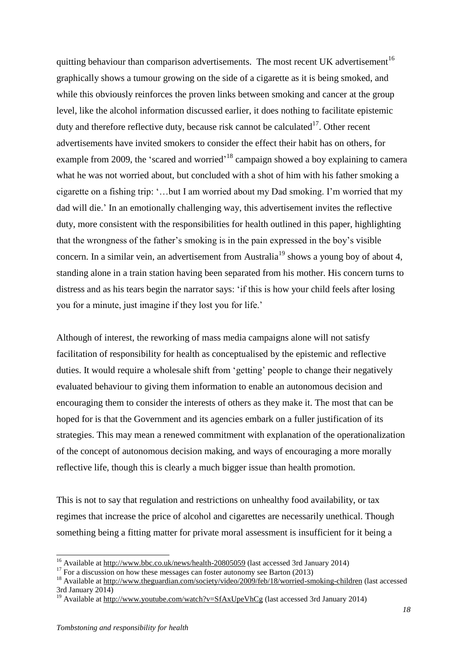quitting behaviour than comparison advertisements. The most recent UK advertisement<sup>16</sup> graphically shows a tumour growing on the side of a cigarette as it is being smoked, and while this obviously reinforces the proven links between smoking and cancer at the group level, like the alcohol information discussed earlier, it does nothing to facilitate epistemic duty and therefore reflective duty, because risk cannot be calculated $17$ . Other recent advertisements have invited smokers to consider the effect their habit has on others, for example from 2009, the 'scared and worried'<sup>18</sup> campaign showed a boy explaining to camera what he was not worried about, but concluded with a shot of him with his father smoking a cigarette on a fishing trip: '…but I am worried about my Dad smoking. I'm worried that my dad will die.' In an emotionally challenging way, this advertisement invites the reflective duty, more consistent with the responsibilities for health outlined in this paper, highlighting that the wrongness of the father's smoking is in the pain expressed in the boy's visible concern. In a similar vein, an advertisement from Australia<sup>19</sup> shows a young boy of about 4, standing alone in a train station having been separated from his mother. His concern turns to distress and as his tears begin the narrator says: 'if this is how your child feels after losing you for a minute, just imagine if they lost you for life.'

Although of interest, the reworking of mass media campaigns alone will not satisfy facilitation of responsibility for health as conceptualised by the epistemic and reflective duties. It would require a wholesale shift from 'getting' people to change their negatively evaluated behaviour to giving them information to enable an autonomous decision and encouraging them to consider the interests of others as they make it. The most that can be hoped for is that the Government and its agencies embark on a fuller justification of its strategies. This may mean a renewed commitment with explanation of the operationalization of the concept of autonomous decision making, and ways of encouraging a more morally reflective life, though this is clearly a much bigger issue than health promotion.

This is not to say that regulation and restrictions on unhealthy food availability, or tax regimes that increase the price of alcohol and cigarettes are necessarily unethical. Though something being a fitting matter for private moral assessment is insufficient for it being a

<sup>&</sup>lt;sup>16</sup> Available at<http://www.bbc.co.uk/news/health-20805059> (last accessed 3rd January 2014)

<sup>&</sup>lt;sup>17</sup> For a discussion on how these messages can foster autonomy see Barton (2013)

<sup>&</sup>lt;sup>18</sup> Available at http://www.theguardian.com/<u>society/video/2009/feb/18/worried-smoking-children</u> (last accessed 3rd January 2014)

<sup>&</sup>lt;sup>19</sup> Available at http://ww<u>w.youtube.com/watch?v=SfAxUpeVhCg</u> (last accessed 3rd January 2014)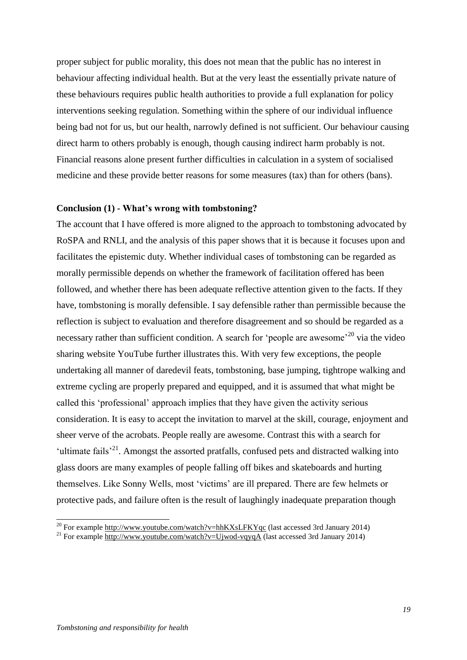proper subject for public morality, this does not mean that the public has no interest in behaviour affecting individual health. But at the very least the essentially private nature of these behaviours requires public health authorities to provide a full explanation for policy interventions seeking regulation. Something within the sphere of our individual influence being bad not for us, but our health, narrowly defined is not sufficient. Our behaviour causing direct harm to others probably is enough, though causing indirect harm probably is not. Financial reasons alone present further difficulties in calculation in a system of socialised medicine and these provide better reasons for some measures (tax) than for others (bans).

### **Conclusion (1) - What's wrong with tombstoning?**

The account that I have offered is more aligned to the approach to tombstoning advocated by RoSPA and RNLI, and the analysis of this paper shows that it is because it focuses upon and facilitates the epistemic duty. Whether individual cases of tombstoning can be regarded as morally permissible depends on whether the framework of facilitation offered has been followed, and whether there has been adequate reflective attention given to the facts. If they have, tombstoning is morally defensible. I say defensible rather than permissible because the reflection is subject to evaluation and therefore disagreement and so should be regarded as a necessary rather than sufficient condition. A search for 'people are awesome<sup> $20$ </sup> via the video sharing website YouTube further illustrates this. With very few exceptions, the people undertaking all manner of daredevil feats, tombstoning, base jumping, tightrope walking and extreme cycling are properly prepared and equipped, and it is assumed that what might be called this 'professional' approach implies that they have given the activity serious consideration. It is easy to accept the invitation to marvel at the skill, courage, enjoyment and sheer verve of the acrobats. People really are awesome. Contrast this with a search for 'ultimate fails<sup>21</sup>. Amongst the assorted pratfalls, confused pets and distracted walking into glass doors are many examples of people falling off bikes and skateboards and hurting themselves. Like Sonny Wells, most 'victims' are ill prepared. There are few helmets or protective pads, and failure often is the result of laughingly inadequate preparation though

<sup>&</sup>lt;sup>20</sup> For example<http://www.youtube.com/watch?v=hhKXsLFKYqc> (last accessed 3rd January 2014)

<sup>&</sup>lt;sup>21</sup> For example http://www.youtube.com/w<u>atch?v=Ujwod-vqyqA</u> (last accessed 3rd January 2014)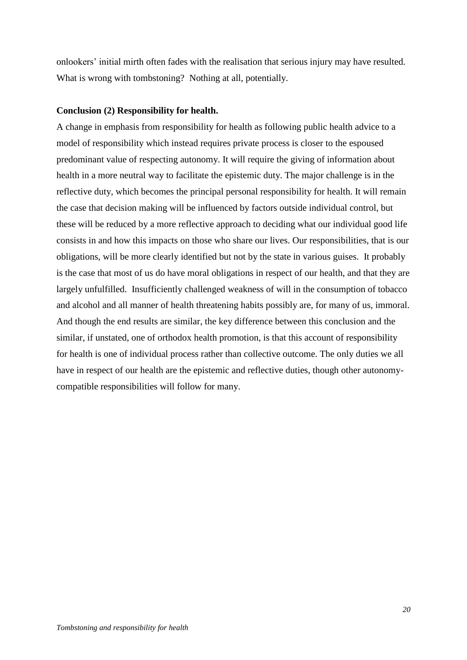onlookers' initial mirth often fades with the realisation that serious injury may have resulted. What is wrong with tombstoning? Nothing at all, potentially.

# **Conclusion (2) Responsibility for health.**

A change in emphasis from responsibility for health as following public health advice to a model of responsibility which instead requires private process is closer to the espoused predominant value of respecting autonomy. It will require the giving of information about health in a more neutral way to facilitate the epistemic duty. The major challenge is in the reflective duty, which becomes the principal personal responsibility for health. It will remain the case that decision making will be influenced by factors outside individual control, but these will be reduced by a more reflective approach to deciding what our individual good life consists in and how this impacts on those who share our lives. Our responsibilities, that is our obligations, will be more clearly identified but not by the state in various guises. It probably is the case that most of us do have moral obligations in respect of our health, and that they are largely unfulfilled. Insufficiently challenged weakness of will in the consumption of tobacco and alcohol and all manner of health threatening habits possibly are, for many of us, immoral. And though the end results are similar, the key difference between this conclusion and the similar, if unstated, one of orthodox health promotion, is that this account of responsibility for health is one of individual process rather than collective outcome. The only duties we all have in respect of our health are the epistemic and reflective duties, though other autonomycompatible responsibilities will follow for many.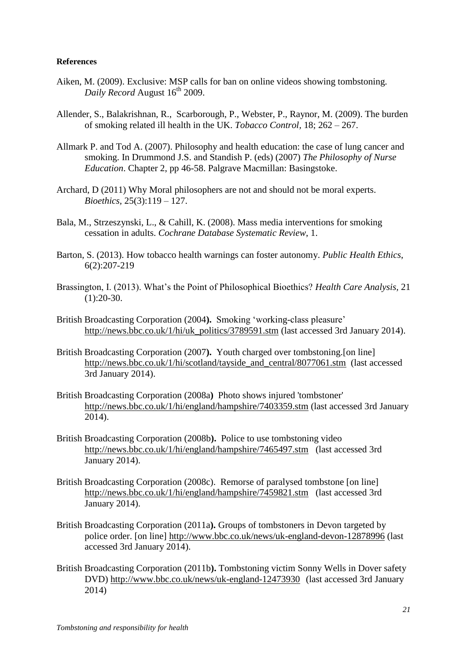#### **References**

- Aiken, M. (2009). Exclusive: MSP calls for ban on online videos showing tombstoning. *Daily Record August 16<sup>th</sup> 2009.*
- Allender, S., Balakrishnan, R., Scarborough, P., Webster, P., Raynor, M. (2009). The burden of smoking related ill health in the UK. *Tobacco Control,* 18; 262 – 267.
- Allmark P. and Tod A. (2007). Philosophy and health education: the case of lung cancer and smoking. In Drummond J.S. and Standish P. (eds) (2007) *The Philosophy of Nurse Education*. Chapter 2, pp 46-58. Palgrave Macmillan: Basingstoke.
- Archard, D (2011) Why Moral philosophers are not and should not be moral experts. *Bioethics,* 25(3):119 – 127.
- Bala, M., Strzeszynski, L., & Cahill, K. (2008). Mass media interventions for smoking cessation in adults. *Cochrane Database Systematic Review*, 1.
- Barton, S. (2013). How tobacco health warnings can foster autonomy. *Public Health Ethics*, 6(2):207-219
- Brassington, I. (2013). What's the Point of Philosophical Bioethics? *Health Care Analysis,* 21  $(1):20-30.$
- British Broadcasting Corporation (2004**).** Smoking 'working-class pleasure' [http://news.bbc.co.uk/1/hi/uk\\_politics/3789591.stm](http://news.bbc.co.uk/1/hi/uk_politics/3789591.stm) (last accessed 3rd January 2014).
- British Broadcasting Corporation (2007**).** Youth charged over tombstoning.[on line] [http://news.bbc.co.uk/1/hi/scotland/tayside\\_and\\_central/8077061.stm](http://news.bbc.co.uk/1/hi/scotland/tayside_and_central/8077061.stm) (last accessed 3rd January 2014).
- British Broadcasting Corporation (2008a**)** Photo shows injured 'tombstoner' <http://news.bbc.co.uk/1/hi/england/hampshire/7403359.stm> (last accessed 3rd January 2014).
- British Broadcasting Corporation (2008b**).** Police to use tombstoning video <http://news.bbc.co.uk/1/hi/england/hampshire/7465497.stm>(last accessed 3rd January 2014).
- British Broadcasting Corporation (2008c). Remorse of paralysed tombstone [on line] <http://news.bbc.co.uk/1/hi/england/hampshire/7459821.stm>(last accessed 3rd January 2014).
- British Broadcasting Corporation (2011a**).** Groups of tombstoners in Devon targeted by police order. [on line] <http://www.bbc.co.uk/news/uk-england-devon-12878996> (last accessed 3rd January 2014).
- British Broadcasting Corporation (2011b**).** Tombstoning victim Sonny Wells in Dover safety DVD)<http://www.bbc.co.uk/news/uk-england-12473930>(last accessed 3rd January 2014)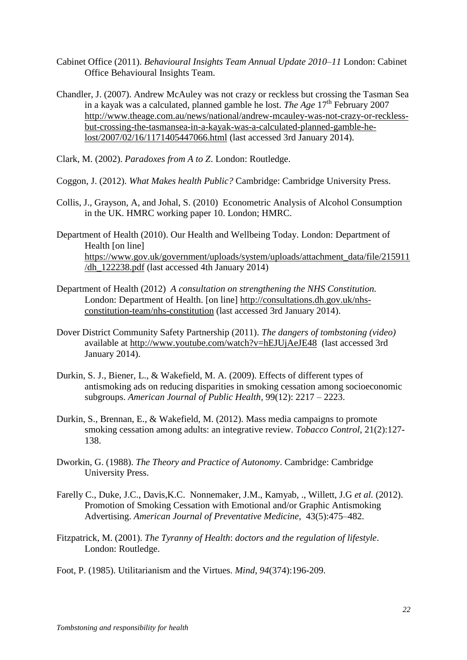- Cabinet Office (2011). *Behavioural Insights Team Annual Update 2010–11* London: Cabinet Office Behavioural Insights Team.
- Chandler, J. (2007). Andrew McAuley was not crazy or reckless but crossing the Tasman Sea in a kayak was a calculated, planned gamble he lost. *The Age* 17<sup>th</sup> February 2007 [http://www.theage.com.au/news/national/andrew-mcauley-was-not-crazy-or-reckless](http://www.theage.com.au/news/national/andrew-mcauley-was-not-crazy-or-reckless-but-crossing-the-tasmansea-in-a-kayak-was-a-calculated-planned-gamble-he-lost/2007/02/16/1171405447066.html)[but-crossing-the-tasmansea-in-a-kayak-was-a-calculated-planned-gamble-he](http://www.theage.com.au/news/national/andrew-mcauley-was-not-crazy-or-reckless-but-crossing-the-tasmansea-in-a-kayak-was-a-calculated-planned-gamble-he-lost/2007/02/16/1171405447066.html)[lost/2007/02/16/1171405447066.html](http://www.theage.com.au/news/national/andrew-mcauley-was-not-crazy-or-reckless-but-crossing-the-tasmansea-in-a-kayak-was-a-calculated-planned-gamble-he-lost/2007/02/16/1171405447066.html) (last accessed 3rd January 2014).
- Clark, M. (2002). *Paradoxes from A to Z*. London: Routledge.
- Coggon, J. (2012). *What Makes health Public?* Cambridge: Cambridge University Press.
- Collis, J., Grayson, A, and Johal, S. (2010) Econometric Analysis of Alcohol Consumption in the UK. HMRC working paper 10. London; HMRC.
- Department of Health (2010). Our Health and Wellbeing Today. London: Department of Health [on line] [https://www.gov.uk/government/uploads/system/uploads/attachment\\_data/file/215911](https://www.gov.uk/government/uploads/system/uploads/attachment_data/file/215911/dh_122238.pdf) [/dh\\_122238.pdf](https://www.gov.uk/government/uploads/system/uploads/attachment_data/file/215911/dh_122238.pdf) (last accessed 4th January 2014)
- Department of Health (2012) *A consultation on strengthening the NHS Constitution.*  London: Department of Health. [on line] [http://consultations.dh.gov.uk/nhs](http://consultations.dh.gov.uk/nhs-constitution-team/nhs-constitution)[constitution-team/nhs-constitution](http://consultations.dh.gov.uk/nhs-constitution-team/nhs-constitution) (last accessed 3rd January 2014).
- Dover District Community Safety Partnership (2011). *The dangers of tombstoning (video)* available at<http://www.youtube.com/watch?v=hEJUjAeJE48>(last accessed 3rd January 2014).
- Durkin, S. J., Biener, L., & Wakefield, M. A. (2009). Effects of different types of antismoking ads on reducing disparities in smoking cessation among socioeconomic subgroups. *American Journal of Public Health,* 99(12): 2217 – 2223.
- Durkin, S., Brennan, E., & Wakefield, M. (2012). Mass media campaigns to promote smoking cessation among adults: an integrative review. *Tobacco Control*, 21(2):127- 138.
- Dworkin, G. (1988). *The Theory and Practice of Autonomy*. Cambridge: Cambridge University Press.
- Farelly C., Duke, J.C., Davis,K.C. Nonnemaker, J.M., Kamyab, ., Willett, J.G *et al.* (2012). Promotion of Smoking Cessation with Emotional and/or Graphic Antismoking Advertising. *American Journal of Preventative Medicine*, 43(5):475–482.
- Fitzpatrick, M. (2001). *The Tyranny of Health*: *doctors and the regulation of lifestyle*. London: Routledge.
- Foot, P. (1985). Utilitarianism and the Virtues. *Mind*, *94*(374):196-209.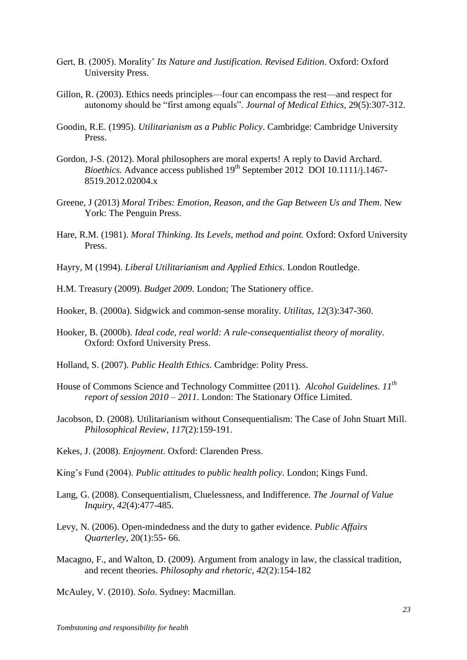- Gert, B. (2005). Morality' *Its Nature and Justification. Revised Edition*. Oxford: Oxford University Press.
- Gillon, R. (2003). Ethics needs principles—four can encompass the rest—and respect for autonomy should be "first among equals". *Journal of Medical Ethics*, 29(5):307-312.
- Goodin, R.E. (1995). *Utilitarianism as a Public Policy*. Cambridge: Cambridge University Press.
- Gordon, J-S. (2012). Moral philosophers are moral experts! A reply to David Archard. *Bioethics.* Advance access published 19<sup>th</sup> September 2012 DOI 10.1111/j.1467-8519.2012.02004.x
- Greene, J (2013) *Moral Tribes: Emotion, Reason, and the Gap Between Us and Them*. New York: The Penguin Press.
- Hare, R.M. (1981). *Moral Thinking. Its Levels, method and point.* Oxford: Oxford University Press.
- Hayry, M (1994). *Liberal Utilitarianism and Applied Ethics*. London Routledge.

H.M. Treasury (2009). *Budget 2009*. London; The Stationery office.

- Hooker, B. (2000a). Sidgwick and common-sense morality. *Utilitas*, *12*(3):347-360.
- Hooker, B. (2000b). *Ideal code, real world: A rule-consequentialist theory of morality*. Oxford: Oxford University Press.
- Holland, S. (2007). *Public Health Ethics*. Cambridge: Polity Press.
- House of Commons Science and Technology Committee (2011). *Alcohol Guidelines. 11th report of session 2010 – 2011*. London: The Stationary Office Limited.
- Jacobson, D. (2008). Utilitarianism without Consequentialism: The Case of John Stuart Mill. *Philosophical Review*, *117*(2):159-191.
- Kekes, J. (2008). *Enjoyment*. Oxford: Clarenden Press.
- King's Fund (2004). *Public attitudes to public health policy*. London; Kings Fund.
- Lang, G. (2008). Consequentialism, Cluelessness, and Indifference. *The Journal of Value Inquiry*, *42*(4):477-485.
- Levy, N. (2006). Open-mindedness and the duty to gather evidence. *Public Affairs Quarterley,* 20(1):55- 66.
- Macagno, F., and Walton, D. (2009). Argument from analogy in law, the classical tradition, and recent theories. *Philosophy and rhetoric*, *42*(2):154-182

McAuley, V. (2010). *Solo*. Sydney: Macmillan.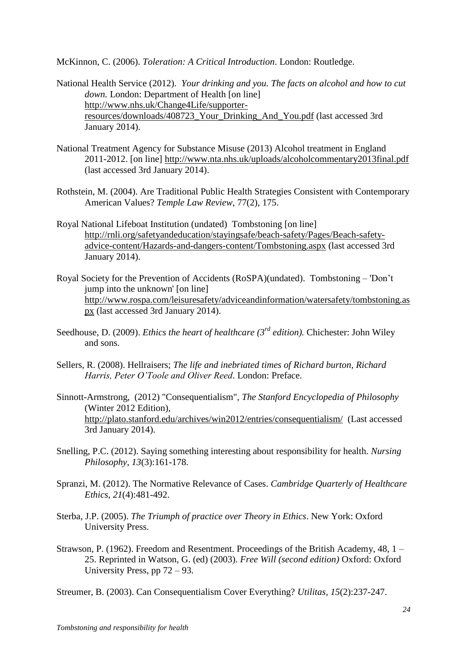McKinnon, C. (2006). *Toleration: A Critical Introduction*. London: Routledge.

- National Health Service (2012). *Your drinking and you. The facts on alcohol and how to cut down.* London: Department of Health [on line] [http://www.nhs.uk/Change4Life/supporter](http://www.nhs.uk/Change4Life/supporter-resources/downloads/408723_Your_Drinking_And_You.pdf)[resources/downloads/408723\\_Your\\_Drinking\\_And\\_You.pdf](http://www.nhs.uk/Change4Life/supporter-resources/downloads/408723_Your_Drinking_And_You.pdf) (last accessed 3rd January 2014).
- National Treatment Agency for Substance Misuse (2013) Alcohol treatment in England 2011-2012. [on line]<http://www.nta.nhs.uk/uploads/alcoholcommentary2013final.pdf> (last accessed 3rd January 2014).
- Rothstein, M. (2004). Are Traditional Public Health Strategies Consistent with Contemporary American Values? *Temple Law Review*, 77(2), 175.
- Royal National Lifeboat Institution (undated) Tombstoning [on line] [http://rnli.org/safetyandeducation/stayingsafe/beach-safety/Pages/Beach-safety](http://rnli.org/safetyandeducation/stayingsafe/beach-safety/Pages/Beach-safety-advice-content/Hazards-and-dangers-content/Tombstoning.aspx)[advice-content/Hazards-and-dangers-content/Tombstoning.aspx](http://rnli.org/safetyandeducation/stayingsafe/beach-safety/Pages/Beach-safety-advice-content/Hazards-and-dangers-content/Tombstoning.aspx) (last accessed 3rd January 2014).
- Royal Society for the Prevention of Accidents (RoSPA)(undated). Tombstoning 'Don't jump into the unknown' [on line] [http://www.rospa.com/leisuresafety/adviceandinformation/watersafety/tombstoning.as](http://www.rospa.com/leisuresafety/adviceandinformation/watersafety/tombstoning.aspx) [px](http://www.rospa.com/leisuresafety/adviceandinformation/watersafety/tombstoning.aspx) (last accessed 3rd January 2014).
- Seedhouse, D. (2009). *Ethics the heart of healthcare (3rd edition).* Chichester: John Wiley and sons.
- Sellers, R. (2008). Hellraisers; *The life and inebriated times of Richard burton, Richard Harris, Peter O'Toole and Oliver Reed*. London: Preface.
- Sinnott-Armstrong, (2012) "Consequentialism", *The Stanford Encyclopedia of Philosophy*  (Winter 2012 Edition), <http://plato.stanford.edu/archives/win2012/entries/consequentialism/>(Last accessed 3rd January 2014).
- Snelling, P.C. (2012). Saying something interesting about responsibility for health. *Nursing Philosophy*, *13*(3):161-178.
- Spranzi, M. (2012). The Normative Relevance of Cases. *Cambridge Quarterly of Healthcare Ethics*, *21*(4):481-492.
- Sterba, J.P. (2005). *The Triumph of practice over Theory in Ethics*. New York: Oxford University Press.
- Strawson, P. (1962). Freedom and Resentment. Proceedings of the British Academy, 48, 1 25. Reprinted in Watson, G. (ed) (2003). *Free Will (second edition)* Oxford: Oxford University Press, pp 72 – 93.

Streumer, B. (2003). Can Consequentialism Cover Everything? *Utilitas*, *15*(2):237-247.